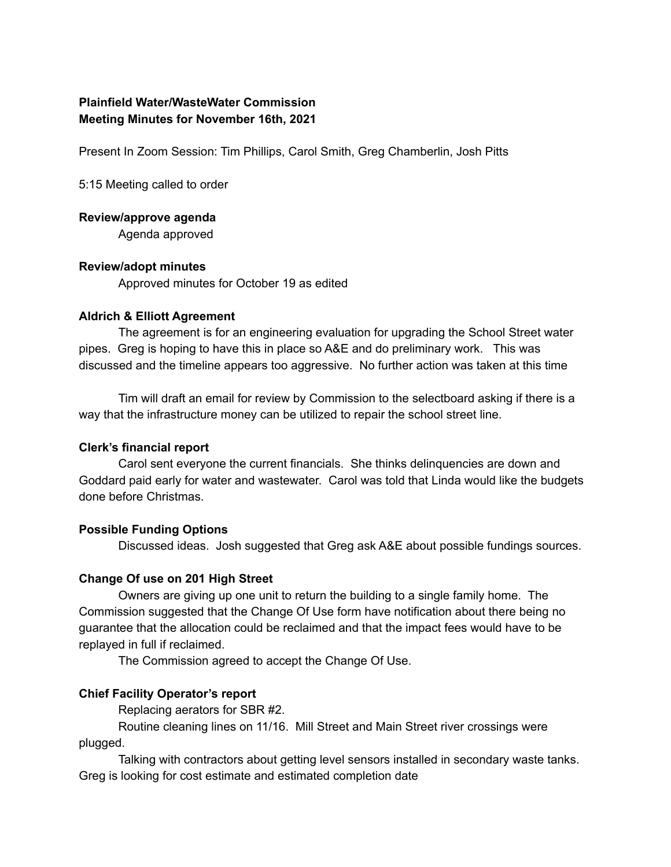# **Plainfield Water/WasteWater Commission Meeting Minutes for November 16th, 2021**

Present In Zoom Session: Tim Phillips, Carol Smith, Greg Chamberlin, Josh Pitts

5:15 Meeting called to order

**Review/approve agenda**

Agenda approved

#### **Review/adopt minutes**

Approved minutes for October 19 as edited

#### **Aldrich & Elliott Agreement**

The agreement is for an engineering evaluation for upgrading the School Street water pipes. Greg is hoping to have this in place so A&E and do preliminary work. This was discussed and the timeline appears too aggressive. No further action was taken at this time

Tim will draft an email for review by Commission to the selectboard asking if there is a way that the infrastructure money can be utilized to repair the school street line.

## **Clerk's financial report**

Carol sent everyone the current financials. She thinks delinquencies are down and Goddard paid early for water and wastewater. Carol was told that Linda would like the budgets done before Christmas.

## **Possible Funding Options**

Discussed ideas. Josh suggested that Greg ask A&E about possible fundings sources.

## **Change Of use on 201 High Street**

Owners are giving up one unit to return the building to a single family home. The Commission suggested that the Change Of Use form have notification about there being no guarantee that the allocation could be reclaimed and that the impact fees would have to be replayed in full if reclaimed.

The Commission agreed to accept the Change Of Use.

## **Chief Facility Operator's report**

Replacing aerators for SBR #2.

Routine cleaning lines on 11/16. Mill Street and Main Street river crossings were plugged.

Talking with contractors about getting level sensors installed in secondary waste tanks. Greg is looking for cost estimate and estimated completion date